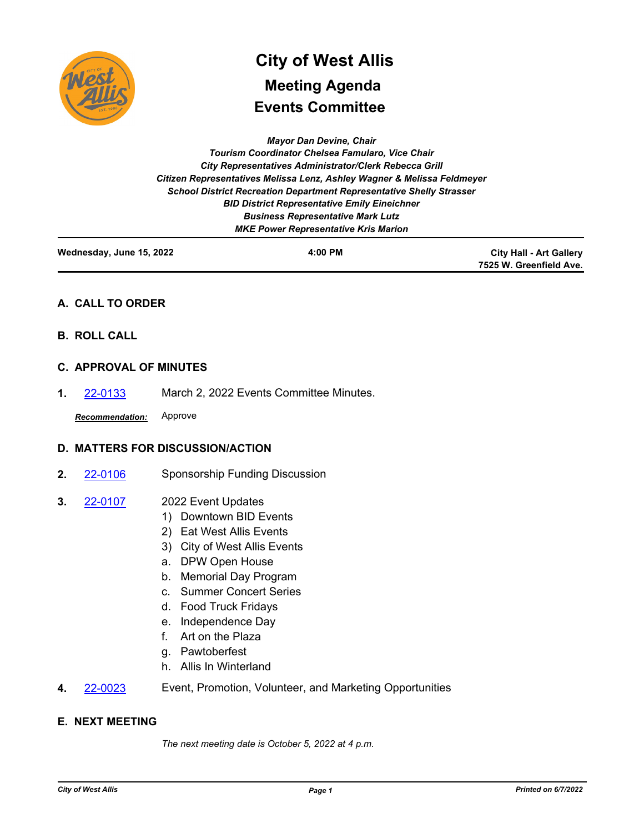

# **Events Committee City of West Allis Meeting Agenda**

*Mayor Dan Devine, Chair Tourism Coordinator Chelsea Famularo, Vice Chair City Representatives Administrator/Clerk Rebecca Grill Citizen Representatives Melissa Lenz, Ashley Wagner & Melissa Feldmeyer School District Recreation Department Representative Shelly Strasser BID District Representative Emily Eineichner Business Representative Mark Lutz MKE Power Representative Kris Marion*

| Wednesday, June 15, 2022 | 4:00 PM | <b>City Hall - Art Gallery</b> |
|--------------------------|---------|--------------------------------|
|                          |         | 7525 W. Greenfield Ave.        |

# **A. CALL TO ORDER**

**B. ROLL CALL**

# **C. APPROVAL OF MINUTES**

**1.** [22-0133](http://westalliswi.legistar.com/gateway.aspx?m=l&id=/matter.aspx?key=28605) March 2, 2022 Events Committee Minutes.

*Recommendation:* Approve

# **D. MATTERS FOR DISCUSSION/ACTION**

- **2.** [22-0106](http://westalliswi.legistar.com/gateway.aspx?m=l&id=/matter.aspx?key=28551) Sponsorship Funding Discussion
- 2022 Event Updates **3.** [22-0107](http://westalliswi.legistar.com/gateway.aspx?m=l&id=/matter.aspx?key=28552)
	- 1) Downtown BID Events
	- 2) Eat West Allis Events
	- 3) City of West Allis Events
	- a. DPW Open House
	- b. Memorial Day Program
	- c. Summer Concert Series
	- d. Food Truck Fridays
	- e. Independence Day
	- f. Art on the Plaza
	- g. Pawtoberfest
	- h. Allis In Winterland
- **4.** [22-0023](http://westalliswi.legistar.com/gateway.aspx?m=l&id=/matter.aspx?key=28373) Event, Promotion, Volunteer, and Marketing Opportunities

# **E. NEXT MEETING**

*The next meeting date is October 5, 2022 at 4 p.m.*